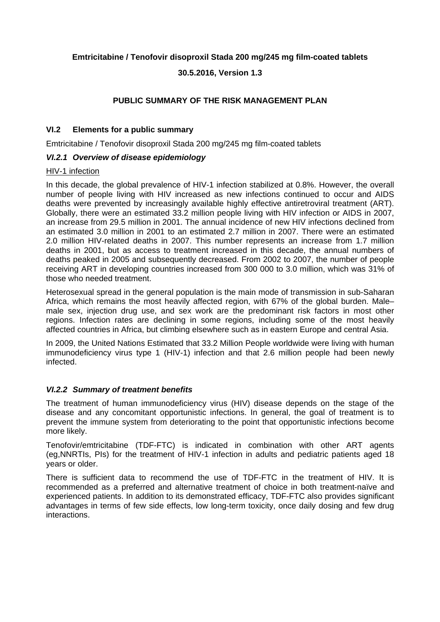## **Emtricitabine / Tenofovir disoproxil Stada 200 mg/245 mg film-coated tablets**

## **30.5.2016, Version 1.3**

## **PUBLIC SUMMARY OF THE RISK MANAGEMENT PLAN**

### **VI.2 Elements for a public summary**

Emtricitabine / Tenofovir disoproxil Stada 200 mg/245 mg film-coated tablets

## *VI.2.1 Overview of disease epidemiology*

#### HIV-1 infection

In this decade, the global prevalence of HIV-1 infection stabilized at 0.8%. However, the overall number of people living with HIV increased as new infections continued to occur and AIDS deaths were prevented by increasingly available highly effective antiretroviral treatment (ART). Globally, there were an estimated 33.2 million people living with HIV infection or AIDS in 2007, an increase from 29.5 million in 2001. The annual incidence of new HIV infections declined from an estimated 3.0 million in 2001 to an estimated 2.7 million in 2007. There were an estimated 2.0 million HIV-related deaths in 2007. This number represents an increase from 1.7 million deaths in 2001, but as access to treatment increased in this decade, the annual numbers of deaths peaked in 2005 and subsequently decreased. From 2002 to 2007, the number of people receiving ART in developing countries increased from 300 000 to 3.0 million, which was 31% of those who needed treatment.

Heterosexual spread in the general population is the main mode of transmission in sub-Saharan Africa, which remains the most heavily affected region, with 67% of the global burden. Male– male sex, injection drug use, and sex work are the predominant risk factors in most other regions. Infection rates are declining in some regions, including some of the most heavily affected countries in Africa, but climbing elsewhere such as in eastern Europe and central Asia.

In 2009, the United Nations Estimated that 33.2 Million People worldwide were living with human immunodeficiency virus type 1 (HIV-1) infection and that 2.6 million people had been newly infected.

## *VI.2.2 Summary of treatment benefits*

The treatment of human immunodeficiency virus (HIV) disease depends on the stage of the disease and any concomitant opportunistic infections. In general, the goal of treatment is to prevent the immune system from deteriorating to the point that opportunistic infections become more likely.

Tenofovir/emtricitabine (TDF-FTC) is indicated in combination with other ART agents (eg,NNRTIs, PIs) for the treatment of HIV-1 infection in adults and pediatric patients aged 18 years or older.

There is sufficient data to recommend the use of TDF-FTC in the treatment of HIV. It is recommended as a preferred and alternative treatment of choice in both treatment-naïve and experienced patients. In addition to its demonstrated efficacy, TDF-FTC also provides significant advantages in terms of few side effects, low long-term toxicity, once daily dosing and few drug interactions.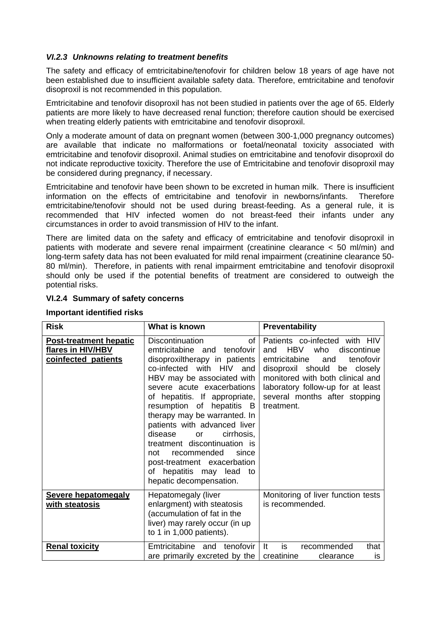## *VI.2.3 Unknowns relating to treatment benefits*

The safety and efficacy of emtricitabine/tenofovir for children below 18 years of age have not been established due to insufficient available safety data. Therefore, emtricitabine and tenofovir disoproxil is not recommended in this population.

Emtricitabine and tenofovir disoproxil has not been studied in patients over the age of 65. Elderly patients are more likely to have decreased renal function; therefore caution should be exercised when treating elderly patients with emtricitabine and tenofovir disoproxil.

Only a moderate amount of data on pregnant women (between 300-1,000 pregnancy outcomes) are available that indicate no malformations or foetal/neonatal toxicity associated with emtricitabine and tenofovir disoproxil. Animal studies on emtricitabine and tenofovir disoproxil do not indicate reproductive toxicity. Therefore the use of Emtricitabine and tenofovir disoproxil may be considered during pregnancy, if necessary.

Emtricitabine and tenofovir have been shown to be excreted in human milk. There is insufficient information on the effects of emtricitabine and tenofovir in newborns/infants. Therefore emtricitabine/tenofovir should not be used during breast-feeding. As a general rule, it is recommended that HIV infected women do not breast-feed their infants under any circumstances in order to avoid transmission of HIV to the infant.

There are limited data on the safety and efficacy of emtricitabine and tenofovir disoproxil in patients with moderate and severe renal impairment (creatinine clearance < 50 ml/min) and long-term safety data has not been evaluated for mild renal impairment (creatinine clearance 50- 80 ml/min). Therefore, in patients with renal impairment emtricitabine and tenofovir disoproxil should only be used if the potential benefits of treatment are considered to outweigh the potential risks.

#### **VI.2.4 Summary of safety concerns**

| <b>Risk</b>                                                               | What is known                                                                                                                                                                                                                                                                                                                                                                                                                                                                                                | Preventability                                                                                                                                                                                                                                                 |
|---------------------------------------------------------------------------|--------------------------------------------------------------------------------------------------------------------------------------------------------------------------------------------------------------------------------------------------------------------------------------------------------------------------------------------------------------------------------------------------------------------------------------------------------------------------------------------------------------|----------------------------------------------------------------------------------------------------------------------------------------------------------------------------------------------------------------------------------------------------------------|
| <b>Post-treatment hepatic</b><br>flares in HIV/HBV<br>coinfected patients | Discontinuation<br>of<br>emtricitabine and<br>tenofovir<br>disoproxiltherapy in patients<br>co-infected with HIV<br>and<br>HBV may be associated with<br>severe acute exacerbations<br>of hepatitis. If appropriate,<br>resumption of hepatitis B<br>therapy may be warranted. In<br>patients with advanced liver<br>disease<br>cirrhosis,<br><b>or</b><br>treatment discontinuation is<br>recommended<br>since<br>not<br>post-treatment exacerbation<br>of hepatitis may lead to<br>hepatic decompensation. | Patients co-infected with HIV<br>HBV<br>who<br>discontinue<br>and<br>emtricitabine<br>tenofovir<br>and<br>disoproxil should be closely<br>monitored with both clinical and<br>laboratory follow-up for at least<br>several months after stopping<br>treatment. |
| <b>Severe hepatomegaly</b><br>with steatosis                              | Hepatomegaly (liver<br>enlargment) with steatosis<br>(accumulation of fat in the<br>liver) may rarely occur (in up<br>to 1 in 1,000 patients).                                                                                                                                                                                                                                                                                                                                                               | Monitoring of liver function tests<br>is recommended.                                                                                                                                                                                                          |
| <b>Renal toxicity</b>                                                     | Emtricitabine and<br>tenofovir<br>are primarily excreted by the $\vert$                                                                                                                                                                                                                                                                                                                                                                                                                                      | is<br><b>It</b><br>that<br>recommended<br>creatinine<br>clearance<br><b>is</b>                                                                                                                                                                                 |

#### **Important identified risks**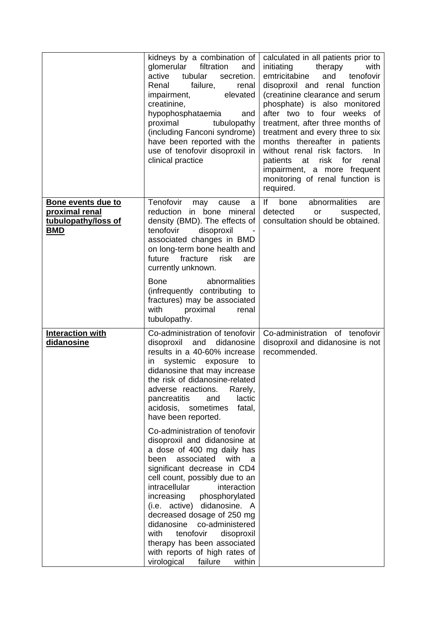|                                                                           | kidneys by a combination of<br>glomerular<br>filtration<br>and<br>active<br>secretion.<br>tubular<br>Renal<br>failure,<br>renal<br>elevated<br>impairment,<br>creatinine,<br>hypophosphataemia<br>and<br>proximal<br>tubulopathy<br>(including Fanconi syndrome)<br>have been reported with the<br>use of tenofovir disoproxil in<br>clinical practice                                                                                                                                                                                                                                                                                                                                                                                                                                                                                  | calculated in all patients prior to<br>initiating<br>therapy<br>with<br>emtricitabine<br>tenofovir<br>and<br>disoproxil and renal function<br>(creatinine clearance and serum<br>phosphate) is also monitored<br>after two to four weeks of<br>treatment, after three months of<br>treatment and every three to six<br>months thereafter in patients<br>without renal risk factors.<br>In.<br>patients<br>risk<br>for<br>at<br>renal<br>impairment, a more frequent<br>monitoring of renal function is<br>required. |
|---------------------------------------------------------------------------|-----------------------------------------------------------------------------------------------------------------------------------------------------------------------------------------------------------------------------------------------------------------------------------------------------------------------------------------------------------------------------------------------------------------------------------------------------------------------------------------------------------------------------------------------------------------------------------------------------------------------------------------------------------------------------------------------------------------------------------------------------------------------------------------------------------------------------------------|---------------------------------------------------------------------------------------------------------------------------------------------------------------------------------------------------------------------------------------------------------------------------------------------------------------------------------------------------------------------------------------------------------------------------------------------------------------------------------------------------------------------|
| Bone events due to<br>proximal renal<br>tubulopathy/loss of<br><b>BMD</b> | Tenofovir<br>may<br>cause<br>a<br>reduction<br>in bone<br>mineral<br>density (BMD). The effects of<br>tenofovir<br>disoproxil<br>associated changes in BMD<br>on long-term bone health and<br>fracture<br>future<br>risk<br>are<br>currently unknown.<br><b>Bone</b><br>abnormalities<br>(infrequently contributing to<br>fractures) may be associated<br>with<br>proximal<br>renal<br>tubulopathy.                                                                                                                                                                                                                                                                                                                                                                                                                                     | lf<br>abnormalities<br>bone<br>are<br>detected<br>or<br>suspected,<br>consultation should be obtained.                                                                                                                                                                                                                                                                                                                                                                                                              |
| <b>Interaction with</b><br>didanosine                                     | Co-administration of tenofovir<br>disoproxil<br>and<br>didanosine<br>results in a 40-60% increase<br>in<br>systemic exposure<br>to<br>didanosine that may increase<br>the risk of didanosine-related<br>adverse reactions.<br>Rarely,<br>lactic<br>and<br>pancreatitis<br>acidosis, sometimes<br>fatal,<br>have been reported.<br>Co-administration of tenofovir<br>disoproxil and didanosine at<br>a dose of 400 mg daily has<br>associated<br>with<br>been<br>a<br>significant decrease in CD4<br>cell count, possibly due to an<br>intracellular<br>interaction<br>increasing<br>phosphorylated<br>(i.e. active) didanosine. A<br>decreased dosage of 250 mg<br>didanosine<br>co-administered<br>tenofovir<br>with<br>disoproxil<br>therapy has been associated<br>with reports of high rates of<br>virological<br>failure<br>within | Co-administration of tenofovir<br>disoproxil and didanosine is not<br>recommended.                                                                                                                                                                                                                                                                                                                                                                                                                                  |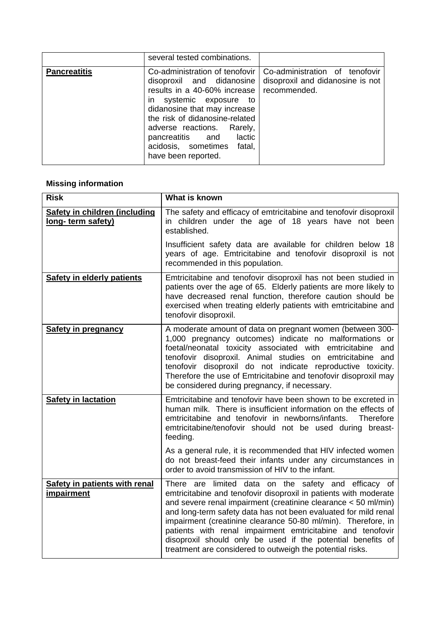|                     | several tested combinations.                                                                                                                                                                                                                                                                              |                                                                                    |
|---------------------|-----------------------------------------------------------------------------------------------------------------------------------------------------------------------------------------------------------------------------------------------------------------------------------------------------------|------------------------------------------------------------------------------------|
| <b>Pancreatitis</b> | Co-administration of tenofovir<br>disoproxil and didanosine<br>results in a 40-60% increase<br>in systemic exposure to<br>didanosine that may increase<br>the risk of didanosine-related<br>adverse reactions. Rarely,<br>pancreatitis and lactic<br>acidosis, sometimes<br>fatal,<br>have been reported. | Co-administration of tenofovir<br>disoproxil and didanosine is not<br>recommended. |

# **Missing information**

| <b>Risk</b>                                               | What is known                                                                                                                                                                                                                                                                                                                                                                                                                                                                                                            |
|-----------------------------------------------------------|--------------------------------------------------------------------------------------------------------------------------------------------------------------------------------------------------------------------------------------------------------------------------------------------------------------------------------------------------------------------------------------------------------------------------------------------------------------------------------------------------------------------------|
| <b>Safety in children (including</b><br>long-term safety) | The safety and efficacy of emtricitabine and tenofovir disoproxil<br>in children under the age of 18 years have not been<br>established.                                                                                                                                                                                                                                                                                                                                                                                 |
|                                                           | Insufficient safety data are available for children below 18<br>years of age. Emtricitabine and tenofovir disoproxil is not<br>recommended in this population.                                                                                                                                                                                                                                                                                                                                                           |
| <b>Safety in elderly patients</b>                         | Emtricitabine and tenofovir disoproxil has not been studied in<br>patients over the age of 65. Elderly patients are more likely to<br>have decreased renal function, therefore caution should be<br>exercised when treating elderly patients with emtricitabine and<br>tenofovir disoproxil.                                                                                                                                                                                                                             |
| <b>Safety in pregnancy</b>                                | A moderate amount of data on pregnant women (between 300-<br>1,000 pregnancy outcomes) indicate no malformations or<br>foetal/neonatal toxicity associated with emtricitabine and<br>tenofovir disoproxil. Animal studies on emtricitabine and<br>tenofovir disoproxil do not indicate reproductive toxicity.<br>Therefore the use of Emtricitabine and tenofovir disoproxil may<br>be considered during pregnancy, if necessary.                                                                                        |
| <b>Safety in lactation</b>                                | Emtricitabine and tenofovir have been shown to be excreted in<br>human milk. There is insufficient information on the effects of<br>emtricitabine and tenofovir in newborns/infants.<br>Therefore<br>emtricitabine/tenofovir should not be used during breast-<br>feeding.                                                                                                                                                                                                                                               |
|                                                           | As a general rule, it is recommended that HIV infected women<br>do not breast-feed their infants under any circumstances in<br>order to avoid transmission of HIV to the infant.                                                                                                                                                                                                                                                                                                                                         |
| <b>Safety in patients with renal</b><br><i>impairment</i> | There are limited data on the safety and efficacy of<br>emtricitabine and tenofovir disoproxil in patients with moderate<br>and severe renal impairment (creatinine clearance < 50 ml/min)<br>and long-term safety data has not been evaluated for mild renal<br>impairment (creatinine clearance 50-80 ml/min). Therefore, in<br>patients with renal impairment emtricitabine and tenofovir<br>disoproxil should only be used if the potential benefits of<br>treatment are considered to outweigh the potential risks. |